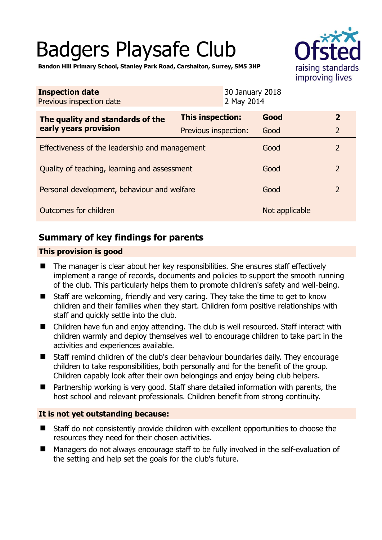# Badgers Playsafe Club



**Bandon Hill Primary School, Stanley Park Road, Carshalton, Surrey, SM5 3HP** 

| <b>Inspection date</b><br>Previous inspection date        |                         | 30 January 2018<br>2 May 2014 |                |                |
|-----------------------------------------------------------|-------------------------|-------------------------------|----------------|----------------|
| The quality and standards of the<br>early years provision | <b>This inspection:</b> |                               | Good           | $\overline{2}$ |
|                                                           | Previous inspection:    |                               | Good           | $\overline{2}$ |
| Effectiveness of the leadership and management            |                         |                               | Good           | $\overline{2}$ |
| Quality of teaching, learning and assessment              |                         |                               | Good           | $\overline{2}$ |
| Personal development, behaviour and welfare               |                         |                               | Good           | $\overline{2}$ |
| Outcomes for children                                     |                         |                               | Not applicable |                |

# **Summary of key findings for parents**

## **This provision is good**

- The manager is clear about her key responsibilities. She ensures staff effectively implement a range of records, documents and policies to support the smooth running of the club. This particularly helps them to promote children's safety and well-being.
- Staff are welcoming, friendly and very caring. They take the time to get to know children and their families when they start. Children form positive relationships with staff and quickly settle into the club.
- Children have fun and enjoy attending. The club is well resourced. Staff interact with children warmly and deploy themselves well to encourage children to take part in the activities and experiences available.
- Staff remind children of the club's clear behaviour boundaries daily. They encourage children to take responsibilities, both personally and for the benefit of the group. Children capably look after their own belongings and enjoy being club helpers.
- Partnership working is very good. Staff share detailed information with parents, the host school and relevant professionals. Children benefit from strong continuity.

## **It is not yet outstanding because:**

- Staff do not consistently provide children with excellent opportunities to choose the resources they need for their chosen activities.
- Managers do not always encourage staff to be fully involved in the self-evaluation of the setting and help set the goals for the club's future.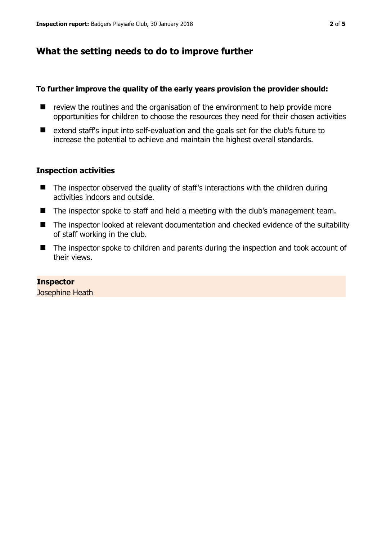# **What the setting needs to do to improve further**

#### **To further improve the quality of the early years provision the provider should:**

- $\blacksquare$  review the routines and the organisation of the environment to help provide more opportunities for children to choose the resources they need for their chosen activities
- extend staff's input into self-evaluation and the goals set for the club's future to increase the potential to achieve and maintain the highest overall standards.

#### **Inspection activities**

- $\blacksquare$  The inspector observed the quality of staff's interactions with the children during activities indoors and outside.
- The inspector spoke to staff and held a meeting with the club's management team.
- The inspector looked at relevant documentation and checked evidence of the suitability of staff working in the club.
- The inspector spoke to children and parents during the inspection and took account of their views.

#### **Inspector**

Josephine Heath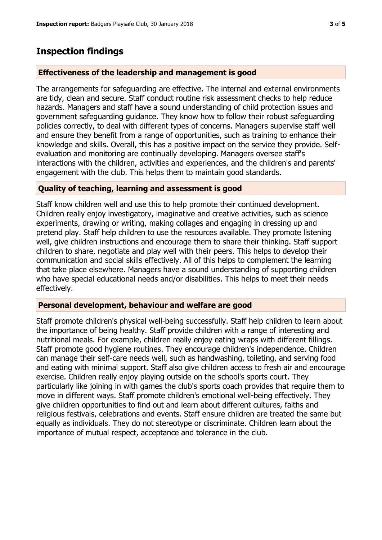# **Inspection findings**

## **Effectiveness of the leadership and management is good**

The arrangements for safeguarding are effective. The internal and external environments are tidy, clean and secure. Staff conduct routine risk assessment checks to help reduce hazards. Managers and staff have a sound understanding of child protection issues and government safeguarding guidance. They know how to follow their robust safeguarding policies correctly, to deal with different types of concerns. Managers supervise staff well and ensure they benefit from a range of opportunities, such as training to enhance their knowledge and skills. Overall, this has a positive impact on the service they provide. Selfevaluation and monitoring are continually developing. Managers oversee staff's interactions with the children, activities and experiences, and the children's and parents' engagement with the club. This helps them to maintain good standards.

## **Quality of teaching, learning and assessment is good**

Staff know children well and use this to help promote their continued development. Children really enjoy investigatory, imaginative and creative activities, such as science experiments, drawing or writing, making collages and engaging in dressing up and pretend play. Staff help children to use the resources available. They promote listening well, give children instructions and encourage them to share their thinking. Staff support children to share, negotiate and play well with their peers. This helps to develop their communication and social skills effectively. All of this helps to complement the learning that take place elsewhere. Managers have a sound understanding of supporting children who have special educational needs and/or disabilities. This helps to meet their needs effectively.

## **Personal development, behaviour and welfare are good**

Staff promote children's physical well-being successfully. Staff help children to learn about the importance of being healthy. Staff provide children with a range of interesting and nutritional meals. For example, children really enjoy eating wraps with different fillings. Staff promote good hygiene routines. They encourage children's independence. Children can manage their self-care needs well, such as handwashing, toileting, and serving food and eating with minimal support. Staff also give children access to fresh air and encourage exercise. Children really enjoy playing outside on the school's sports court. They particularly like joining in with games the club's sports coach provides that require them to move in different ways. Staff promote children's emotional well-being effectively. They give children opportunities to find out and learn about different cultures, faiths and religious festivals, celebrations and events. Staff ensure children are treated the same but equally as individuals. They do not stereotype or discriminate. Children learn about the importance of mutual respect, acceptance and tolerance in the club.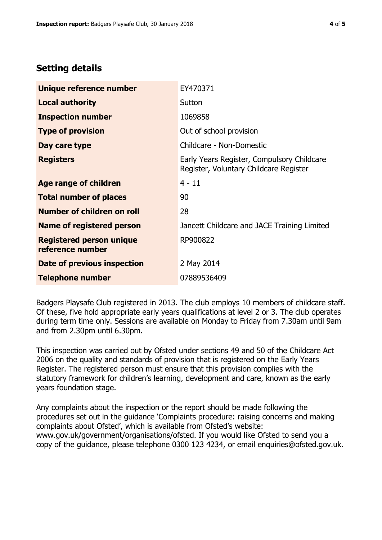# **Setting details**

| Unique reference number                             | EY470371                                                                             |  |
|-----------------------------------------------------|--------------------------------------------------------------------------------------|--|
| <b>Local authority</b>                              | Sutton                                                                               |  |
| <b>Inspection number</b>                            | 1069858                                                                              |  |
| <b>Type of provision</b>                            | Out of school provision                                                              |  |
| Day care type                                       | Childcare - Non-Domestic                                                             |  |
| <b>Registers</b>                                    | Early Years Register, Compulsory Childcare<br>Register, Voluntary Childcare Register |  |
| <b>Age range of children</b>                        | $4 - 11$                                                                             |  |
| <b>Total number of places</b>                       | 90                                                                                   |  |
| Number of children on roll                          | 28                                                                                   |  |
| <b>Name of registered person</b>                    | Jancett Childcare and JACE Training Limited                                          |  |
| <b>Registered person unique</b><br>reference number | RP900822                                                                             |  |
| Date of previous inspection                         | 2 May 2014                                                                           |  |
| <b>Telephone number</b>                             | 07889536409                                                                          |  |

Badgers Playsafe Club registered in 2013. The club employs 10 members of childcare staff. Of these, five hold appropriate early years qualifications at level 2 or 3. The club operates during term time only. Sessions are available on Monday to Friday from 7.30am until 9am and from 2.30pm until 6.30pm.

This inspection was carried out by Ofsted under sections 49 and 50 of the Childcare Act 2006 on the quality and standards of provision that is registered on the Early Years Register. The registered person must ensure that this provision complies with the statutory framework for children's learning, development and care, known as the early years foundation stage.

Any complaints about the inspection or the report should be made following the procedures set out in the guidance 'Complaints procedure: raising concerns and making complaints about Ofsted', which is available from Ofsted's website: www.gov.uk/government/organisations/ofsted. If you would like Ofsted to send you a copy of the guidance, please telephone 0300 123 4234, or email enquiries@ofsted.gov.uk.